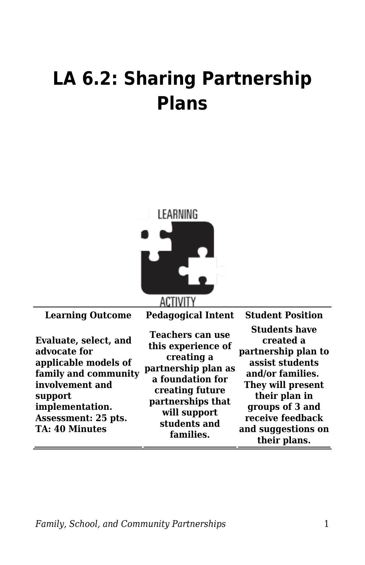## **LA 6.2: Sharing Partnership Plans**



| <b>Learning Outcome</b>                                                                                                                                                                | <b>Pedagogical Intent</b>                                                                                                                                                                   | <b>Student Position</b>                                                                                                                                                                                            |
|----------------------------------------------------------------------------------------------------------------------------------------------------------------------------------------|---------------------------------------------------------------------------------------------------------------------------------------------------------------------------------------------|--------------------------------------------------------------------------------------------------------------------------------------------------------------------------------------------------------------------|
| Evaluate, select, and<br>advocate for<br>applicable models of<br>family and community<br>involvement and<br>support<br>implementation.<br>Assessment: 25 pts.<br><b>TA: 40 Minutes</b> | <b>Teachers can use</b><br>this experience of<br>creating a<br>partnership plan as<br>a foundation for<br>creating future<br>partnerships that<br>will support<br>students and<br>families. | <b>Students have</b><br>created a<br>partnership plan to<br>assist students<br>and/or families.<br>They will present<br>their plan in<br>groups of 3 and<br>receive feedback<br>and suggestions on<br>their plans. |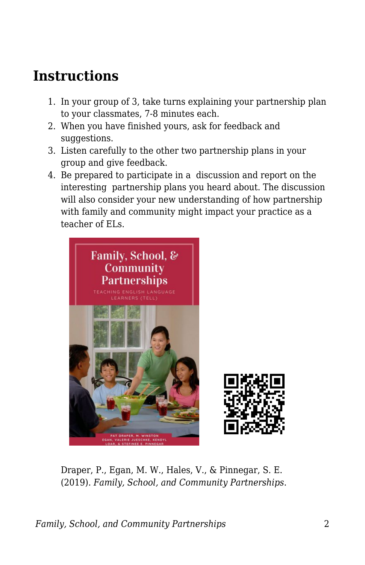## **Instructions**

- 1. In your group of 3, take turns explaining your partnership plan to your classmates, 7-8 minutes each.
- 2. When you have finished yours, ask for feedback and suggestions.
- 3. Listen carefully to the other two partnership plans in your group and give feedback.
- 4. Be prepared to participate in a discussion and report on the interesting partnership plans you heard about. The discussion will also consider your new understanding of how partnership with family and community might impact your practice as a teacher of ELs.



Draper, P., Egan, M. W., Hales, V., & Pinnegar, S. E. (2019). *Family, School, and Community Partnerships*.